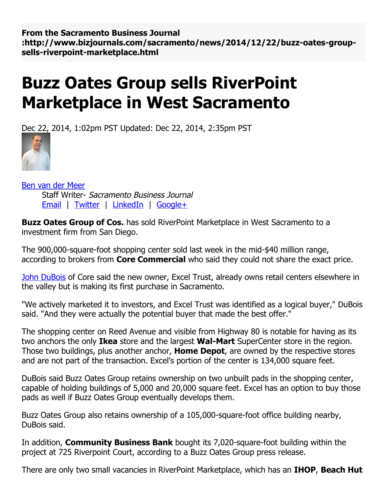**From the Sacramento Business Journal** :http://www.bizjournals.com/sacramento/news/2014/12/22/buzz-oates-groupsells-riverpoint-marketplace.html

## **Buzz Oates Group sells RiverPoint Marketplace in West Sacramento**

Dec 22, 2014, 1:02pm PST Updated: Dec 22, 2014, 2:35pm PST



Ben van der [Meer](http://www.bizjournals.com/sacramento/bio/15911/Ben+van+der+Meer) Staff Writer- Sacramento Business Journal [Email](mailto:bvandermeer@bizjournals.com) | [Twitter](https://twitter.com/benvsacbiz) | [LinkedIn](http://www.linkedin.com/in/benvandermeer) | [Google+](http://plus.google.com/107969226041410859316?rel=author)

**Buzz Oates Group of Cos.** has sold RiverPoint Marketplace in West Sacramento to a investment firm from San Diego.

The 900,000-square-foot shopping center sold last week in the mid-\$40 million range, according to brokers from **Core Commercial** who said they could not share the exact price.

John [DuBois](http://www.bizjournals.com/sacramento/search/results?q=John%20DuBois) of Core said the new owner, Excel Trust, already owns retail centers elsewhere in the valley but is making its first purchase in Sacramento.

"We actively marketed it to investors, and Excel Trust was identified as a logical buyer," DuBois said. "And they were actually the potential buyer that made the best offer."

The shopping center on Reed Avenue and visible from Highway 80 is notable for having as its two anchors the only **Ikea** store and the largest **Wal-Mart** SuperCenter store in the region. Those two buildings, plus another anchor, **Home Depot**, are owned by the respective stores and are not part of the transaction. Excel's portion of the center is 134,000 square feet.

DuBois said Buzz Oates Group retains ownership on two unbuilt pads in the shopping center, capable of holding buildings of 5,000 and 20,000 square feet. Excel has an option to buy those pads as well if Buzz Oates Group eventually develops them.

Buzz Oates Group also retains ownership of a 105,000-square-foot office building nearby, DuBois said.

In addition, **Community Business Bank** bought its 7,020-square-foot building within the project at 725 Riverpoint Court, according to a Buzz Oates Group press release.

There are only two small vacancies in RiverPoint Marketplace, which has an **IHOP**, **Beach Hut**